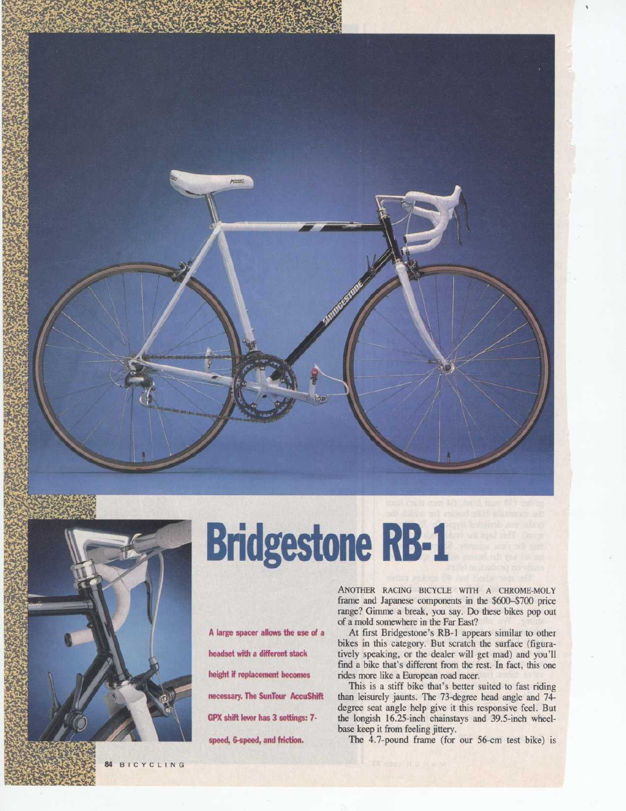



r.

# **Bridgestone RB-1**

A large spacer allows the use of a headset with a different stack height if replacement becomes necessary. The SunTour AccuShift GPX shift lever has 3 settings: 7speed, 6-speed, and friction.

ANOTHER RACING BICYCLE WITH A CHROME-MOLY frame and Japanese components in the \$600-\$700 price range? Gimme a break, you say. Do these bikes pop out of a mold somewhere in the Far East?

At first Bridgestone's RB-1 appears similar to other bikes in this category. But scratch the surface (figuratively speaking, or the dealer will get mad) and you'll find a bike that's different from the rest. In fact, this one rides more like a European road racer.

This is a stiff bike that's better suited to fast riding than leisurely jaunts. The 73-degree head angle and 74degree seat angle help give it this responsive feel. But the longish 16.25-inch chainstays and 39.5-inch wheelbase keep it from feeling jittery.

The 4.7-pound frame (for our 56-cm test bike) is

84 BICYCLING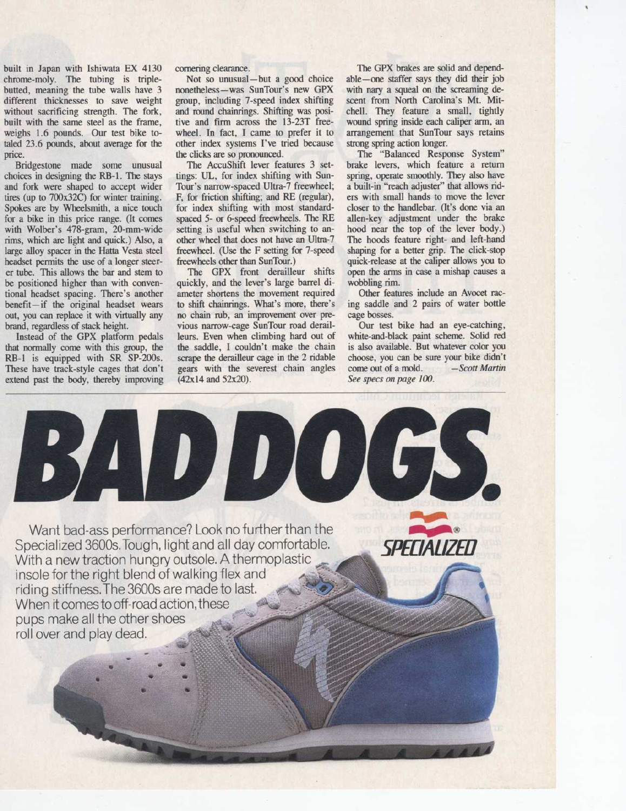built in Japan with Ishiwata EX 4130 chrome-moly. The tubing is triplebutted, meaning the tube walls have 3 different thicknesses to save weight without sacrificing strength. The fork, built with the same steel as the frame, weighs 1.6 pounds. Our test bike totaled 23.6 pounds, about average for the price.

Bridgestone made some unusual choices in designing the RB-1 . The stays and fork were shaped to accept wider tires (up to 700x32C) for winter training. Spokes are by Wheelsmith, a nice touch for a bike in this price range. (It comes with Wolber's 478-gram, 20-mm-wide rims, which are light and quick.) Also, a large alloy spacer in the Hatta Vesta steel headset permits the use of a longer steerer tube. This allows the bar and stem to be positioned higher than with conventional headset spacing. There's another benefit-if the original headset wears out, you can replace it with virtually any brand, regardless of stack height.

Instead of the GPX platform pedals that normally come with this group, the RB-1 is equipped with SR SP-200s. These have track-style cages that don't extend past the body, thereby improving cornering clearance.

Not so unusual-but a good choice nonetheless-was SunTour's new GPX group, including 7-speed index shifting and round chainrings. Shifting was positive and firm across the 13-23T freewheel. In fact, I came to prefer it to other index systems I've tried because the clicks are so pronounced.

The AccuShift lever features 3 settings: UL, for index shifting with Sun-Tour's narrow-spaced Ultra-7 freewheel; F, for friction shifting; and RE (regular), for index shifting with most standardspaced 5- or 6-speed freewheels. The RE setting is useful when switching to another wheel that does not have an Ultra-7 freewheel. (Use the F setting for 7-speed freewheels other than SunTour.)

The GPX front derailleur shifts quickly, and the lever's large barrel diameter shortens the movement required to shift chainrings. What's more, there's no chain rub, an improvement over previous narrow-cage SunTour road derailleurs. Even when climbing hard out of the saddle, <sup>I</sup> couldn't make the chain scrape the derailleur cage in the 2 ridable gears with the severest chain angles (42x14 and 52x20) .

The GPX brakes are solid and dependable-one staffer says they did their job with nary a squeal on the screaming descent from North Carolina's Mt. Mitchell. They feature a small, tightly wound spring inside each caliper arm, an arrangement that SunTour says retains strong spring action longer.

The "Balanced Response System" brake levers, which feature a return spring, operate smoothly. They also have a built-in "reach adjuster" that allows riders with small hands to move the lever closer to the handlebar. (It's done via an allen-key adjustment under the brake hood near the top of the lever body.) The hoods feature right- and left-hand shaping for a better grip. The click-stop quick-release at the caliper allows you to open the arms in case a mishap causes a wobbling rim.

Other features include an Avocet racing saddle and 2 pairs of water bottle cage bosses.

Our test bike had an eye-catching, white-and-black paint scheme. Solid red is also available. But whatever color you choose, you can be sure your bike didn't<br>come out of a mold. - Scott Martin come out of a mold. See specs on page 100.

**oft** 0000

SPELUAL/ZED

Want bad-ass performance? Look no further than the Specialized 3600s. Tough, light and all day comfortable. With a new traction hungry outsole. A thermoplastic insole for the right blend of walking flex and riding stiffness. The 3600s are made to last. When it comes to off-road action, these pups make all the other shoes roll over and play dead.

iladdogs.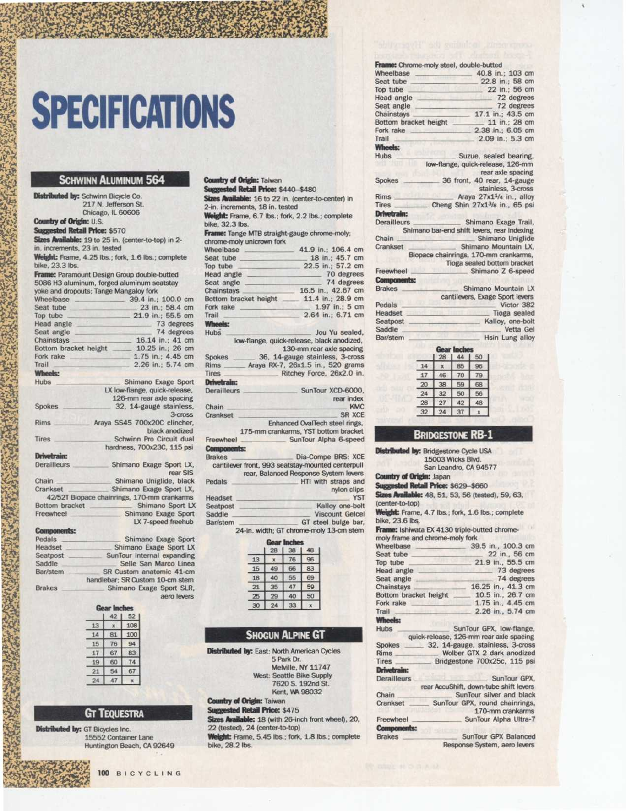## **SPECIFICATIONS**

#### SCHWINN ALUMINUM 564

Distributed by: Schwinn Bicycle Co. 217 N. Jefferson St. Chicago, IL 60606

Country of Origin: U.S. Suggested Retail Price: \$570 Sizes Available: 19 to 25 in. (center-to-top) in 2in. increments, 23 in. tested Weight: Frame, 4.25 lbs.; fork, 1.6 lbs.; complete

bike, 23.3 lbs.

Frame: Paramount Design Group double-butted 5086 H3 aluminum, forged aluminum seatstay yoke and dropouts ; Tange Mangaloy fork

|                                                  | and and anaposter, nongo mangang non-       |
|--------------------------------------------------|---------------------------------------------|
| Wheelbase                                        | 39.4 in.: 100.0 cm                          |
| Seat tube                                        | 23 in.; 58.4 cm                             |
| Top tube                                         | 21.9 in.; 55.5 cm                           |
| Head angle                                       | 73 degrees                                  |
| Seat angle                                       | 74 degrees                                  |
| Chainstays                                       | 16.14 in.; 41 cm                            |
| Bottom bracket height                            | 10.25 in.: 26 cm                            |
| Fork rake                                        | 1.75 in.; 4.45 cm                           |
| <b>Trail</b>                                     | 2.26 in.; 5.74 cm                           |
| <b>Wheels:</b>                                   |                                             |
| <b>Hubs</b>                                      | Shimano Exage Sport                         |
|                                                  | LX low-flange, quick-release,               |
|                                                  | 126-mm rear axle spacing                    |
| <b>Spokes</b>                                    | 32, 14-gauge stainless,                     |
|                                                  | $3-cross$                                   |
| <b>Rims</b>                                      | Araya SS45 700x20C clincher,                |
|                                                  | black anodized                              |
| Tires                                            | Schwinn Pro Circuit dual                    |
|                                                  | hardness, 700x23C, 115 psi                  |
| <b>Drivetrain:</b>                               |                                             |
| Derailleurs                                      | Shimano Exage Sport LX,                     |
|                                                  | rear SIS                                    |
| Chain                                            | Shimano Uniglide, black                     |
| Crankset                                         | Shimano Exage Sport LX,                     |
|                                                  | 42/52T Biopace chainrings, 170-mm crankarms |
| Bottom bracket                                   | Shimano Sport LX                            |
| Freewheel                                        | Shimano Exage Sport                         |
|                                                  | LX 7-speed freehub                          |
| and the company of the company of the company of |                                             |

Brakes Pedals Pedals -- -Shimano Exage Sport Headset - Shimano Exage Sport LX Seatpost -\_ SunTour internal expanding Saddle Selle San Marco Linea<br>Bar/stem SR Custom anatomic 41-cm SR Custom anatomic 41-cm handlebar; SR Custom 10-cm stem Shimano Exage Sport SLR, aero levers

| <b>SANT</b><br>inches |    |     |  |
|-----------------------|----|-----|--|
|                       | 42 | 52  |  |
| 13                    |    | 108 |  |
| 14                    | 81 | 100 |  |
| 15                    | 76 | 94  |  |
| 17                    | 67 | 83  |  |
| 19                    | 60 |     |  |
|                       | 54 | 67  |  |
| 24                    |    |     |  |
|                       |    |     |  |

#### GT TEQUESTRA

Distributed by: GT Bicycles Inc. 15552 Container Lane Huntington Beach, CA 92649

| Suggested Retail Price: \$440-\$480 |                                                                                                                                                |
|-------------------------------------|------------------------------------------------------------------------------------------------------------------------------------------------|
|                                     | Sizes Available: 16 to 22 in. (center-to-center) in                                                                                            |
| 2-in. increments, 18 in. tested     |                                                                                                                                                |
| bike, 32.3 lbs.                     | Weight: Frame, 6.7 lbs.; fork, 2.2 lbs.; complete                                                                                              |
| chrome-moly unicrown fork           | Frame: Tange MTB straight-gauge chrome-moly;                                                                                                   |
| <b>Wheelbase</b>                    | 41.9 in.; 106.4 cm                                                                                                                             |
| Seat tube                           | 18 in.: 45.7 cm                                                                                                                                |
| Top tube                            | 22.5 in.: 57.2 cm                                                                                                                              |
| Head angle                          | 70 degrees                                                                                                                                     |
| Seat angle                          | 74 degrees                                                                                                                                     |
| Chainstays                          | 16.5 in., 42.67 cm                                                                                                                             |
| Bottom bracket height               | 11.4 in.: 28.9 cm                                                                                                                              |
| Fork rake                           | 1.97 in.: 5 cm                                                                                                                                 |
| Trail                               | 2.64 in.; 6.71 cm                                                                                                                              |
| <b>Wheels:</b>                      |                                                                                                                                                |
| <b>Hubs</b>                         | Jou Yu sealed.                                                                                                                                 |
| Spokes<br>Rims                      | low-flange, quick-release, black anodized,<br>130-mm rear axle spacing<br>36, 14-gauge stainless, 3-cross<br>Araya RX-7, 26x1.5 in., 520 grams |
| <b>Tires</b>                        | Ritchey Force, 26x2.0 in.                                                                                                                      |
|                                     |                                                                                                                                                |
| <b>Drivetrain:</b>                  |                                                                                                                                                |
| <b>Derailleurs</b>                  | SunTour XCD-6000.                                                                                                                              |
|                                     | rear index                                                                                                                                     |
| Chain                               | <b>KMC</b>                                                                                                                                     |
| Crankset                            | <b>SR XCE</b>                                                                                                                                  |
|                                     | Enhanced OvalTech steel rings.                                                                                                                 |
|                                     | 175-mm crankarms, YST bottom bracket                                                                                                           |
|                                     | SunTour Alpha 6-speed                                                                                                                          |
| Freewheel                           |                                                                                                                                                |
| <b>Components:</b>                  |                                                                                                                                                |
| <b>Brakes</b>                       | Dia-Compe BRS: XCE                                                                                                                             |
|                                     | cantilever front, 993 seatstay-mounted centerpull                                                                                              |
|                                     | rear, Balanced Response System levers                                                                                                          |
| Pedals                              | HTI with straps and                                                                                                                            |
| Headset                             | nylon clips<br><b>YST</b>                                                                                                                      |

Headset<br>Seatpost Kalloy one-bolt Saddle Viscount Gelcel<br>Bar/stem GT steel bulge bar, GT steel bulge bar, 24-in width; GT chrome-moly 13-cm stem

|    | 28 | 38 | 48 |
|----|----|----|----|
| 13 |    |    | 96 |
| 15 |    | 66 | 83 |
| 18 | 40 | 55 | 69 |
| 21 | 35 |    | 59 |
| 25 | 29 | 40 | 50 |
| 30 |    | a  |    |

#### SHOGUN ALPINE GT

Distributed by: East: North American Cycles

5 Park Dr. Melville, NY 11747 West: Seattle Bike Supply 7620 S. 192nd St . Kent, W4 98032

Country of Origin: Taiwan

Suggested Retail Price: \$475<br>Sizes Available: 18 (with 26-inch front wheel), 20,<br>Sizes Available: 18 (with 26-inch front wheel), 20, 22 (tested), 24 (center-to-top)

Weight: Frame, 5.45 lbs.; fork, 1.8 lbs.; complete bike, 28.2 lbs.

|                       | Frame: Chrome-moly steel, double-butted                |
|-----------------------|--------------------------------------------------------|
| Wheelbase             | 40.8 in.: 103 cm                                       |
| Seat tube             | 22.8 in.: 58 cm                                        |
| Top tube              | 22 in.; 56 cm                                          |
| Head angle            | 72 degrees                                             |
| Seat angle            | 72 degrees                                             |
| Chainstays            | 17.1 in.: 43.5 cm                                      |
| Bottom bracket height | 11 in.; 28 cm                                          |
| Fork rake             | 2.38 in.; 6.05 cm                                      |
| Trail                 | 2.09 in.; 5.3 cm                                       |
| Wheels:               |                                                        |
| <b>Hubs</b>           | Suzue, sealed bearing,                                 |
|                       | low-flange, quick-release, 126-mm<br>rear axle spacing |
| Spokes                | 36 front, 40 rear, 14-gauge                            |
|                       | stainless, 3-cross                                     |
| <b>Rims</b>           | Araya 27x11/4 in., alloy                               |
| Tires _               | Cheng Shin $27x1^{3}/8$ in., 65 psi                    |
| <b>Drivetrain:</b>    |                                                        |
| Derailleurs           | Shimano Exage Trail,                                   |
|                       | Shimano bar-end shift levers, rear indexing            |
| Chain                 | Shimano Uniglide                                       |
| Crankset              | Shimano Mountain LX.                                   |
|                       | Biopace chainrings, 170-mm crankarms,                  |
|                       | Tioga sealed bottom bracket                            |
| Freewheel             | Shimano Z 6-speed                                      |
| <b>Components:</b>    |                                                        |
| <b>Brakes</b>         | Shimano Mountain LX                                    |
|                       | cantilevers, Exage Sport levers                        |
| Pedals                | Victor 382                                             |
| <b>Line of a set</b>  | Timera wanded                                          |

| <b>Pegals</b> | <b>VICTOL OOS</b> |  |  |
|---------------|-------------------|--|--|
| Headset       | Tioga sealed      |  |  |
| Seatpost      | Kalloy, one-bolt  |  |  |
| Saddle        | Vetta Gel         |  |  |
| Bar/stem      | Hsin Lung alloy   |  |  |

|    | 28 |    | 50 |
|----|----|----|----|
|    |    | 85 |    |
|    |    |    |    |
| 20 | è  | 59 |    |
|    | 32 | 50 | 56 |
| 28 | 27 | 15 |    |
| 32 |    |    |    |

### BRIDGESTONE RB-1

Distributed by: Bridgestone Cycle USA 15003 Wicks Blvd.

San Leandro, CA 94577<br>Country of Origin: Japan

**Country of Origin: Japan<br>Suggested Retail Price: \$629-\$660** 

**Sizes Available:** 48, 51, 53, 56 (tested), 59, 63, (center-to-top)

Weight: Frame, 4.7 lbs.; fork, 1.6 lbs.; complete bike, 23.6 lbs.

**Frame:** Ishiwata EX 4130 triple-butted chrome-

| Wheelbase                           | 39.5 in., 100.3 cm                                                                                                                                                                        |
|-------------------------------------|-------------------------------------------------------------------------------------------------------------------------------------------------------------------------------------------|
| Seat tube                           | 22 in., 56 cm                                                                                                                                                                             |
| Top tube                            | 21.9 in., 55.5 cm                                                                                                                                                                         |
| Head angle                          | 73 degrees                                                                                                                                                                                |
| Seat angle                          | 74 degrees                                                                                                                                                                                |
| Chainstays                          | 16.25 in., 41.3 cm                                                                                                                                                                        |
| Bottom bracket height               | 10.5 in., 26.7 cm                                                                                                                                                                         |
| Fork rake                           | 1.75 in., 4.45 cm                                                                                                                                                                         |
| Trail                               | 2.26 in., 5.74 cm                                                                                                                                                                         |
| <b>Wheels:</b>                      |                                                                                                                                                                                           |
| <b>Hubs</b>                         | SunTour GPX, low-flange,                                                                                                                                                                  |
|                                     |                                                                                                                                                                                           |
|                                     | quick-release, 126-mm rear axle spacing                                                                                                                                                   |
| Spokes                              |                                                                                                                                                                                           |
| <b>Rims</b>                         |                                                                                                                                                                                           |
| <b>Tires</b>                        | 32, 14-gauge, stainless, 3-cross<br>Wolber GTX 2 dark anodized<br>Bridgestone 700x25c, 115 psi                                                                                            |
| <b>Drivetrain:</b>                  |                                                                                                                                                                                           |
| <b>Derailleurs</b>                  |                                                                                                                                                                                           |
|                                     |                                                                                                                                                                                           |
| Chain                               |                                                                                                                                                                                           |
| Crankset                            |                                                                                                                                                                                           |
|                                     |                                                                                                                                                                                           |
| Freewheel                           |                                                                                                                                                                                           |
|                                     |                                                                                                                                                                                           |
| <b>Components:</b><br><b>Brakes</b> | SunTour GPX.<br>rear AccuShift, down-tube shift levers<br>SunTour silver and black<br>SunTour GPX, round chainrings,<br>170-mm crankarms<br>SunTour Alpha Ultra-7<br>SunTour GPX Balanced |